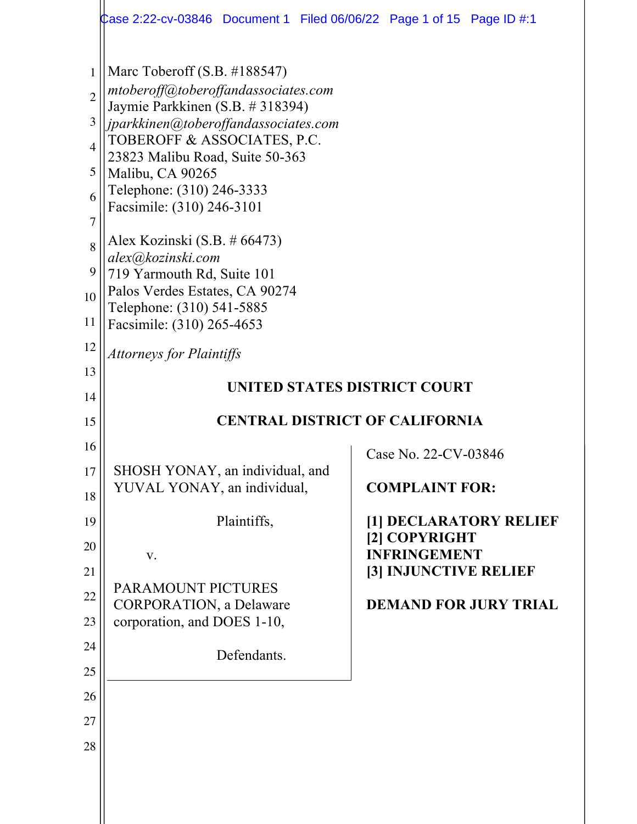|                                                                                              | Case 2:22-cv-03846 Document 1   Filed 06/06/22   Page 1 of 15   Page ID #:1                                                                                                                                                                                                                                                                                                                                                                                                         |                                              |  |
|----------------------------------------------------------------------------------------------|-------------------------------------------------------------------------------------------------------------------------------------------------------------------------------------------------------------------------------------------------------------------------------------------------------------------------------------------------------------------------------------------------------------------------------------------------------------------------------------|----------------------------------------------|--|
| 1<br>$\overline{2}$<br>3<br>$\overline{4}$<br>5<br>6<br>$\overline{7}$<br>8<br>9<br>10<br>11 | Marc Toberoff $(S.B. #188547)$<br>mtoberoff@toberoffandassociates.com<br>Jaymie Parkkinen (S.B. # 318394)<br>jparkkinen@toberoffandassociates.com<br>TOBEROFF & ASSOCIATES, P.C.<br>23823 Malibu Road, Suite 50-363<br>Malibu, CA 90265<br>Telephone: (310) 246-3333<br>Facsimile: (310) 246-3101<br>Alex Kozinski (S.B. $\#$ 66473)<br>alex@kozinski.com<br>719 Yarmouth Rd, Suite 101<br>Palos Verdes Estates, CA 90274<br>Telephone: (310) 541-5885<br>Facsimile: (310) 265-4653 |                                              |  |
| 12                                                                                           |                                                                                                                                                                                                                                                                                                                                                                                                                                                                                     |                                              |  |
| 13                                                                                           | <b>Attorneys for Plaintiffs</b>                                                                                                                                                                                                                                                                                                                                                                                                                                                     |                                              |  |
| 14                                                                                           | UNITED STATES DISTRICT COURT                                                                                                                                                                                                                                                                                                                                                                                                                                                        |                                              |  |
| 15                                                                                           | <b>CENTRAL DISTRICT OF CALIFORNIA</b>                                                                                                                                                                                                                                                                                                                                                                                                                                               |                                              |  |
| 16                                                                                           |                                                                                                                                                                                                                                                                                                                                                                                                                                                                                     | Case No. 22-CV-03846                         |  |
| 17                                                                                           | SHOSH YONAY, an individual, and                                                                                                                                                                                                                                                                                                                                                                                                                                                     |                                              |  |
|                                                                                              |                                                                                                                                                                                                                                                                                                                                                                                                                                                                                     |                                              |  |
| 18                                                                                           | YUVAL YONAY, an individual,                                                                                                                                                                                                                                                                                                                                                                                                                                                         | <b>COMPLAINT FOR:</b>                        |  |
| 19                                                                                           | Plaintiffs,                                                                                                                                                                                                                                                                                                                                                                                                                                                                         | [1] DECLARATORY RELIEF                       |  |
| 20                                                                                           |                                                                                                                                                                                                                                                                                                                                                                                                                                                                                     | [2] COPYRIGHT                                |  |
| 21                                                                                           | V.                                                                                                                                                                                                                                                                                                                                                                                                                                                                                  | <b>INFRINGEMENT</b><br>[3] INJUNCTIVE RELIEF |  |
| 22                                                                                           | PARAMOUNT PICTURES                                                                                                                                                                                                                                                                                                                                                                                                                                                                  |                                              |  |
| 23                                                                                           | <b>CORPORATION</b> , a Delaware<br>corporation, and DOES 1-10,                                                                                                                                                                                                                                                                                                                                                                                                                      | <b>DEMAND FOR JURY TRIAL</b>                 |  |
| 24                                                                                           |                                                                                                                                                                                                                                                                                                                                                                                                                                                                                     |                                              |  |
| 25                                                                                           | Defendants.                                                                                                                                                                                                                                                                                                                                                                                                                                                                         |                                              |  |
| 26                                                                                           |                                                                                                                                                                                                                                                                                                                                                                                                                                                                                     |                                              |  |
| 27                                                                                           |                                                                                                                                                                                                                                                                                                                                                                                                                                                                                     |                                              |  |
| 28                                                                                           |                                                                                                                                                                                                                                                                                                                                                                                                                                                                                     |                                              |  |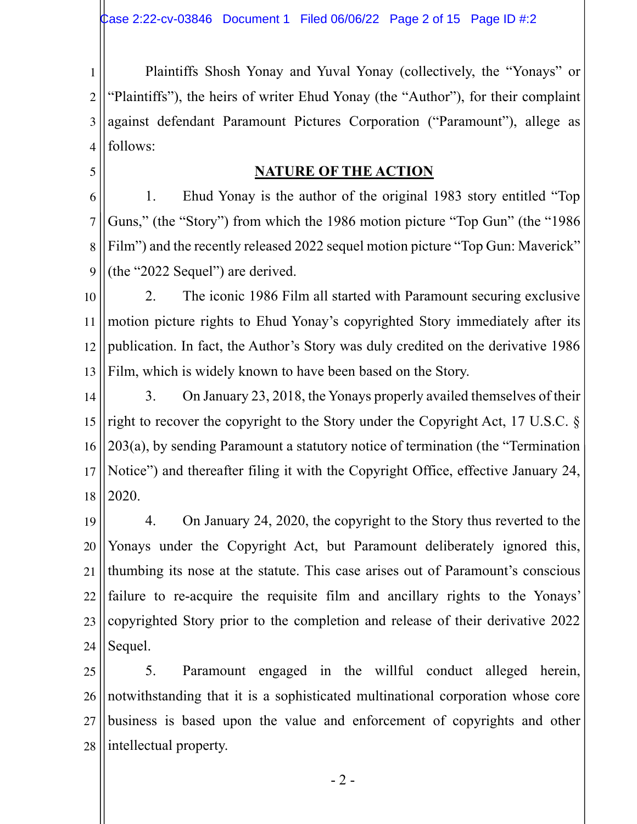1 2 3 4 Plaintiffs Shosh Yonay and Yuval Yonay (collectively, the "Yonays" or "Plaintiffs"), the heirs of writer Ehud Yonay (the "Author"), for their complaint against defendant Paramount Pictures Corporation ("Paramount"), allege as follows:

#### **NATURE OF THE ACTION**

5

6 7 8 9 1. Ehud Yonay is the author of the original 1983 story entitled "Top Guns," (the "Story") from which the 1986 motion picture "Top Gun" (the "1986 Film") and the recently released 2022 sequel motion picture "Top Gun: Maverick" (the "2022 Sequel") are derived.

10 11 12 13 2. The iconic 1986 Film all started with Paramount securing exclusive motion picture rights to Ehud Yonay's copyrighted Story immediately after its publication. In fact, the Author's Story was duly credited on the derivative 1986 Film, which is widely known to have been based on the Story.

14 15 16 17 18 3. On January 23, 2018, the Yonays properly availed themselves of their right to recover the copyright to the Story under the Copyright Act, 17 U.S.C. § 203(a), by sending Paramount a statutory notice of termination (the "Termination Notice") and thereafter filing it with the Copyright Office, effective January 24, 2020.

19 20 21 22 23 24 4. On January 24, 2020, the copyright to the Story thus reverted to the Yonays under the Copyright Act, but Paramount deliberately ignored this, thumbing its nose at the statute. This case arises out of Paramount's conscious failure to re-acquire the requisite film and ancillary rights to the Yonays' copyrighted Story prior to the completion and release of their derivative 2022 Sequel.

25 26 27 28 5. Paramount engaged in the willful conduct alleged herein, notwithstanding that it is a sophisticated multinational corporation whose core business is based upon the value and enforcement of copyrights and other intellectual property.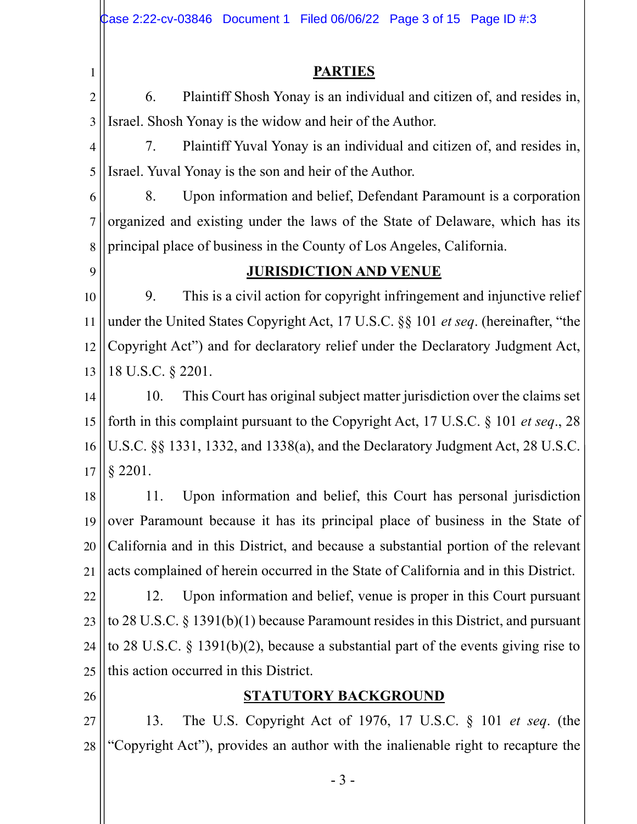- 3 - 1 2 3 4 5 6 7 8 9 10 11 12 13 14 15 16 17 18 19 20 21 22 23 24 25 26 27 28 **PARTIES** 6. Plaintiff Shosh Yonay is an individual and citizen of, and resides in, Israel. Shosh Yonay is the widow and heir of the Author. 7. Plaintiff Yuval Yonay is an individual and citizen of, and resides in, Israel. Yuval Yonay is the son and heir of the Author. 8. Upon information and belief, Defendant Paramount is a corporation organized and existing under the laws of the State of Delaware, which has its principal place of business in the County of Los Angeles, California. **JURISDICTION AND VENUE** 9. This is a civil action for copyright infringement and injunctive relief under the United States Copyright Act, 17 U.S.C. §§ 101 *et seq*. (hereinafter, "the Copyright Act") and for declaratory relief under the Declaratory Judgment Act, 18 U.S.C. § 2201. 10. This Court has original subject matter jurisdiction over the claims set forth in this complaint pursuant to the Copyright Act, 17 U.S.C. § 101 *et seq*., 28 U.S.C. §§ 1331, 1332, and 1338(a), and the Declaratory Judgment Act, 28 U.S.C. § 2201. 11. Upon information and belief, this Court has personal jurisdiction over Paramount because it has its principal place of business in the State of California and in this District, and because a substantial portion of the relevant acts complained of herein occurred in the State of California and in this District. 12. Upon information and belief, venue is proper in this Court pursuant to 28 U.S.C. § 1391(b)(1) because Paramount resides in this District, and pursuant to 28 U.S.C. § 1391(b)(2), because a substantial part of the events giving rise to this action occurred in this District. **STATUTORY BACKGROUND** 13. The U.S. Copyright Act of 1976, 17 U.S.C. § 101 *et seq*. (the "Copyright Act"), provides an author with the inalienable right to recapture the Case 2:22-cv-03846 Document 1 Filed 06/06/22 Page 3 of 15 Page ID  $\#3$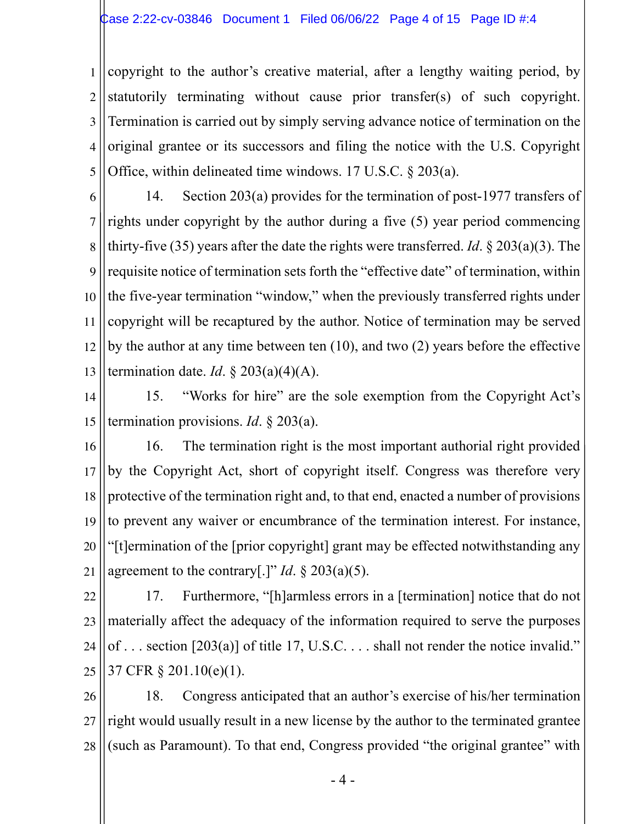1 2 3 4 5 copyright to the author's creative material, after a lengthy waiting period, by statutorily terminating without cause prior transfer(s) of such copyright. Termination is carried out by simply serving advance notice of termination on the original grantee or its successors and filing the notice with the U.S. Copyright Office, within delineated time windows. 17 U.S.C. § 203(a).

6 7 8 9 10 11 12 13 14. Section 203(a) provides for the termination of post-1977 transfers of rights under copyright by the author during a five (5) year period commencing thirty-five (35) years after the date the rights were transferred. *Id*. § 203(a)(3). The requisite notice of termination sets forth the "effective date" of termination, within the five-year termination "window," when the previously transferred rights under copyright will be recaptured by the author. Notice of termination may be served by the author at any time between ten (10), and two (2) years before the effective termination date. *Id*.  $\S 203(a)(4)(A)$ .

14 15 15. "Works for hire" are the sole exemption from the Copyright Act's termination provisions. *Id*. § 203(a).

16 17 18 19 20 21 16. The termination right is the most important authorial right provided by the Copyright Act, short of copyright itself. Congress was therefore very protective of the termination right and, to that end, enacted a number of provisions to prevent any waiver or encumbrance of the termination interest. For instance, "[t]ermination of the [prior copyright] grant may be effected notwithstanding any agreement to the contrary[.]" *Id*. § 203(a)(5).

22 23 24 25 17. Furthermore, "[h]armless errors in a [termination] notice that do not materially affect the adequacy of the information required to serve the purposes of . . . section [203(a)] of title 17, U.S.C. . . . shall not render the notice invalid." 37 CFR § 201.10(e)(1).

26 27 28 18. Congress anticipated that an author's exercise of his/her termination right would usually result in a new license by the author to the terminated grantee (such as Paramount). To that end, Congress provided "the original grantee" with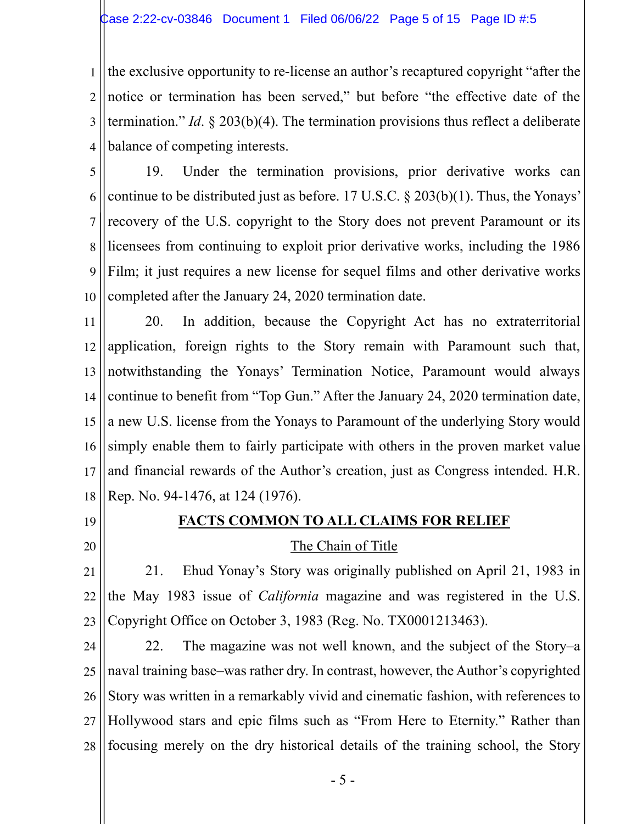1 2 3 4 the exclusive opportunity to re-license an author's recaptured copyright "after the notice or termination has been served," but before "the effective date of the termination." *Id*. § 203(b)(4). The termination provisions thus reflect a deliberate balance of competing interests.

5 6 7 8 9 10 19. Under the termination provisions, prior derivative works can continue to be distributed just as before. 17 U.S.C. § 203(b)(1). Thus, the Yonays' recovery of the U.S. copyright to the Story does not prevent Paramount or its licensees from continuing to exploit prior derivative works, including the 1986 Film; it just requires a new license for sequel films and other derivative works completed after the January 24, 2020 termination date.

11 12 13 14 15 16 17 18 20. In addition, because the Copyright Act has no extraterritorial application, foreign rights to the Story remain with Paramount such that, notwithstanding the Yonays' Termination Notice, Paramount would always continue to benefit from "Top Gun." After the January 24, 2020 termination date, a new U.S. license from the Yonays to Paramount of the underlying Story would simply enable them to fairly participate with others in the proven market value and financial rewards of the Author's creation, just as Congress intended. H.R. Rep. No. 94-1476, at 124 (1976).

19

#### **FACTS COMMON TO ALL CLAIMS FOR RELIEF**

20

#### The Chain of Title

21 22 23 21. Ehud Yonay's Story was originally published on April 21, 1983 in the May 1983 issue of *California* magazine and was registered in the U.S. Copyright Office on October 3, 1983 (Reg. No. TX0001213463).

24 25 26 27 28 22. The magazine was not well known, and the subject of the Story–a naval training base–was rather dry. In contrast, however, the Author's copyrighted Story was written in a remarkably vivid and cinematic fashion, with references to Hollywood stars and epic films such as "From Here to Eternity." Rather than focusing merely on the dry historical details of the training school, the Story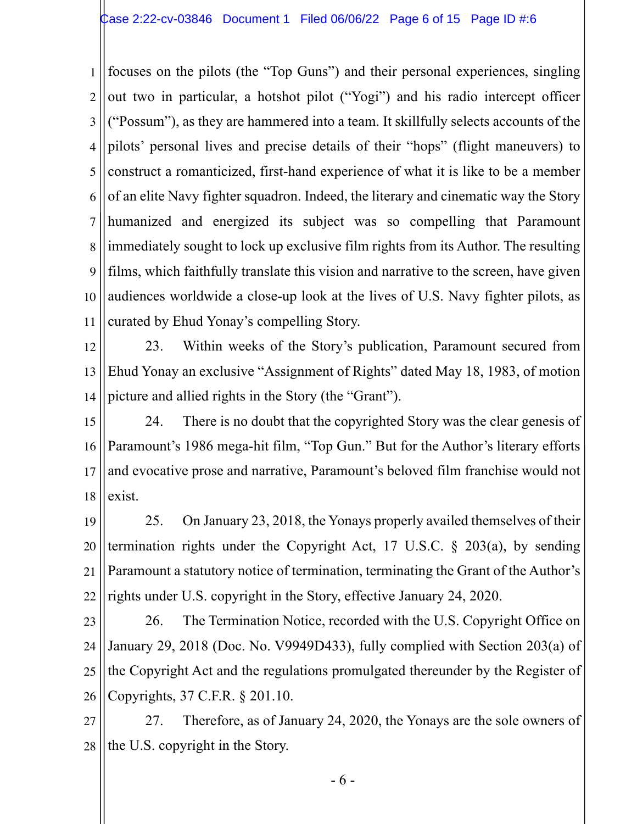1 2 3 4 5 6 7 8 9 10 11 focuses on the pilots (the "Top Guns") and their personal experiences, singling out two in particular, a hotshot pilot ("Yogi") and his radio intercept officer ("Possum"), as they are hammered into a team. It skillfully selects accounts of the pilots' personal lives and precise details of their "hops" (flight maneuvers) to construct a romanticized, first-hand experience of what it is like to be a member of an elite Navy fighter squadron. Indeed, the literary and cinematic way the Story humanized and energized its subject was so compelling that Paramount immediately sought to lock up exclusive film rights from its Author. The resulting films, which faithfully translate this vision and narrative to the screen, have given audiences worldwide a close-up look at the lives of U.S. Navy fighter pilots, as curated by Ehud Yonay's compelling Story.

12 13 14 23. Within weeks of the Story's publication, Paramount secured from Ehud Yonay an exclusive "Assignment of Rights" dated May 18, 1983, of motion picture and allied rights in the Story (the "Grant").

15 16 17 18 24. There is no doubt that the copyrighted Story was the clear genesis of Paramount's 1986 mega-hit film, "Top Gun." But for the Author's literary efforts and evocative prose and narrative, Paramount's beloved film franchise would not exist.

19 20 21 22 25. On January 23, 2018, the Yonays properly availed themselves of their termination rights under the Copyright Act, 17 U.S.C. § 203(a), by sending Paramount a statutory notice of termination, terminating the Grant of the Author's rights under U.S. copyright in the Story, effective January 24, 2020.

23 24 25 26 26. The Termination Notice, recorded with the U.S. Copyright Office on January 29, 2018 (Doc. No. V9949D433), fully complied with Section 203(a) of the Copyright Act and the regulations promulgated thereunder by the Register of Copyrights, 37 C.F.R. § 201.10.

27 28 27. Therefore, as of January 24, 2020, the Yonays are the sole owners of the U.S. copyright in the Story.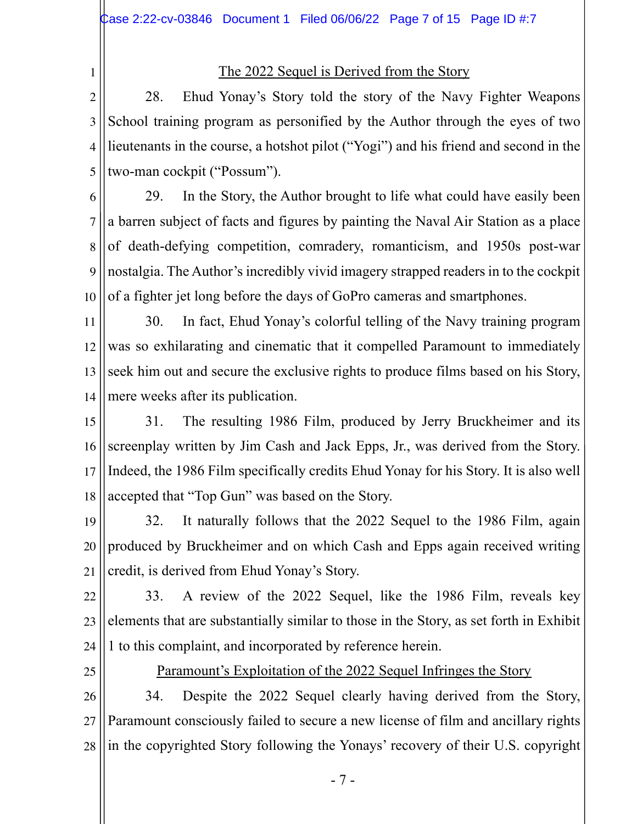1

# The 2022 Sequel is Derived from the Story

2 3 4 5 28. Ehud Yonay's Story told the story of the Navy Fighter Weapons School training program as personified by the Author through the eyes of two lieutenants in the course, a hotshot pilot ("Yogi") and his friend and second in the two-man cockpit ("Possum").

6 7 8 9 10 29. In the Story, the Author brought to life what could have easily been a barren subject of facts and figures by painting the Naval Air Station as a place of death-defying competition, comradery, romanticism, and 1950s post-war nostalgia. The Author's incredibly vivid imagery strapped readers in to the cockpit of a fighter jet long before the days of GoPro cameras and smartphones.

11 12 13 14 30. In fact, Ehud Yonay's colorful telling of the Navy training program was so exhilarating and cinematic that it compelled Paramount to immediately seek him out and secure the exclusive rights to produce films based on his Story, mere weeks after its publication.

15 16 17 18 31. The resulting 1986 Film, produced by Jerry Bruckheimer and its screenplay written by Jim Cash and Jack Epps, Jr., was derived from the Story. Indeed, the 1986 Film specifically credits Ehud Yonay for his Story. It is also well accepted that "Top Gun" was based on the Story.

19 20 21 32. It naturally follows that the 2022 Sequel to the 1986 Film, again produced by Bruckheimer and on which Cash and Epps again received writing credit, is derived from Ehud Yonay's Story.

22 23 24 33. A review of the 2022 Sequel, like the 1986 Film, reveals key elements that are substantially similar to those in the Story, as set forth in Exhibit 1 to this complaint, and incorporated by reference herein.

25

Paramount's Exploitation of the 2022 Sequel Infringes the Story

26 27 28 34. Despite the 2022 Sequel clearly having derived from the Story, Paramount consciously failed to secure a new license of film and ancillary rights in the copyrighted Story following the Yonays' recovery of their U.S. copyright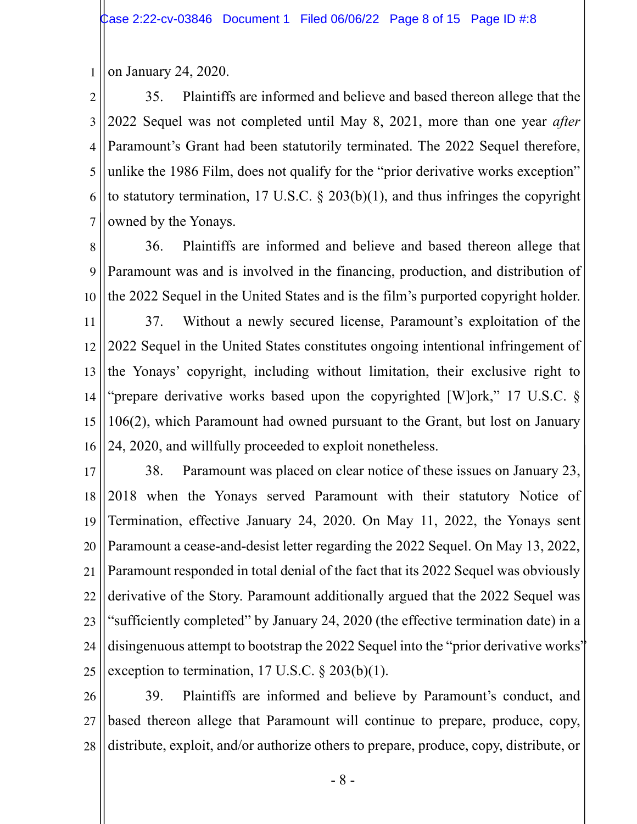1 on January 24, 2020.

2 3 4 5 6 7 35. Plaintiffs are informed and believe and based thereon allege that the 2022 Sequel was not completed until May 8, 2021, more than one year *after* Paramount's Grant had been statutorily terminated. The 2022 Sequel therefore, unlike the 1986 Film, does not qualify for the "prior derivative works exception" to statutory termination, 17 U.S.C. § 203(b)(1), and thus infringes the copyright owned by the Yonays.

8 9 10 36. Plaintiffs are informed and believe and based thereon allege that Paramount was and is involved in the financing, production, and distribution of the 2022 Sequel in the United States and is the film's purported copyright holder.

11 12 13 14 15 16 37. Without a newly secured license, Paramount's exploitation of the 2022 Sequel in the United States constitutes ongoing intentional infringement of the Yonays' copyright, including without limitation, their exclusive right to "prepare derivative works based upon the copyrighted [W]ork," 17 U.S.C. § 106(2), which Paramount had owned pursuant to the Grant, but lost on January 24, 2020, and willfully proceeded to exploit nonetheless.

17 18 19 20 21 22 23 24 25 38. Paramount was placed on clear notice of these issues on January 23, 2018 when the Yonays served Paramount with their statutory Notice of Termination, effective January 24, 2020. On May 11, 2022, the Yonays sent Paramount a cease-and-desist letter regarding the 2022 Sequel. On May 13, 2022, Paramount responded in total denial of the fact that its 2022 Sequel was obviously derivative of the Story. Paramount additionally argued that the 2022 Sequel was "sufficiently completed" by January 24, 2020 (the effective termination date) in a disingenuous attempt to bootstrap the 2022 Sequel into the "prior derivative works" exception to termination,  $17 \text{ U.S.C.} \$   $203(b)(1)$ .

26 27 28 39. Plaintiffs are informed and believe by Paramount's conduct, and based thereon allege that Paramount will continue to prepare, produce, copy, distribute, exploit, and/or authorize others to prepare, produce, copy, distribute, or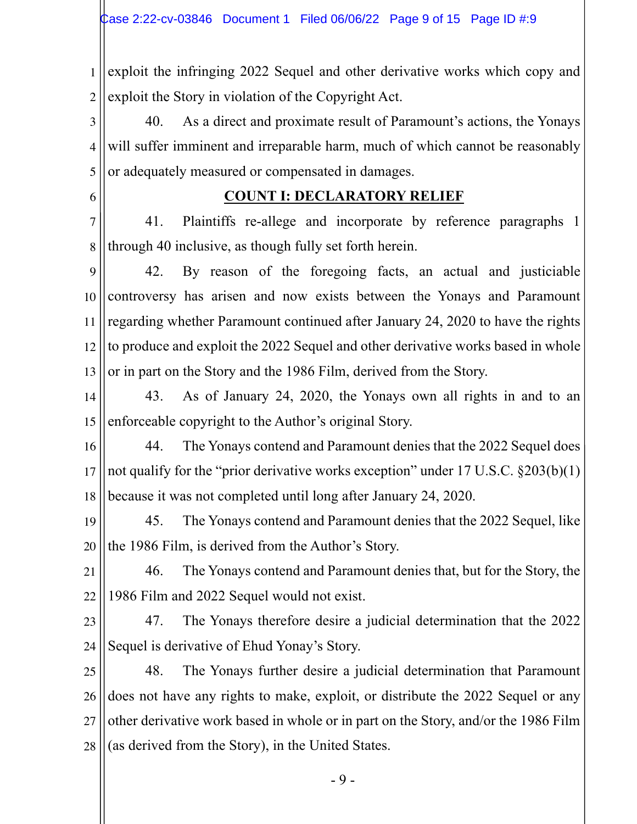1 2 exploit the infringing 2022 Sequel and other derivative works which copy and exploit the Story in violation of the Copyright Act.

3 4 5 40. As a direct and proximate result of Paramount's actions, the Yonays will suffer imminent and irreparable harm, much of which cannot be reasonably or adequately measured or compensated in damages.

6

# **COUNT I: DECLARATORY RELIEF**

7 8 41. Plaintiffs re-allege and incorporate by reference paragraphs 1 through 40 inclusive, as though fully set forth herein.

9 10 11 12 13 42. By reason of the foregoing facts, an actual and justiciable controversy has arisen and now exists between the Yonays and Paramount regarding whether Paramount continued after January 24, 2020 to have the rights to produce and exploit the 2022 Sequel and other derivative works based in whole or in part on the Story and the 1986 Film, derived from the Story.

14 15 43. As of January 24, 2020, the Yonays own all rights in and to an enforceable copyright to the Author's original Story.

16 17 18 44. The Yonays contend and Paramount denies that the 2022 Sequel does not qualify for the "prior derivative works exception" under 17 U.S.C. §203(b)(1) because it was not completed until long after January 24, 2020.

19 20 45. The Yonays contend and Paramount denies that the 2022 Sequel, like the 1986 Film, is derived from the Author's Story.

21 22 46. The Yonays contend and Paramount denies that, but for the Story, the 1986 Film and 2022 Sequel would not exist.

23 24 47. The Yonays therefore desire a judicial determination that the 2022 Sequel is derivative of Ehud Yonay's Story.

25 26 27 28 48. The Yonays further desire a judicial determination that Paramount does not have any rights to make, exploit, or distribute the 2022 Sequel or any other derivative work based in whole or in part on the Story, and/or the 1986 Film (as derived from the Story), in the United States.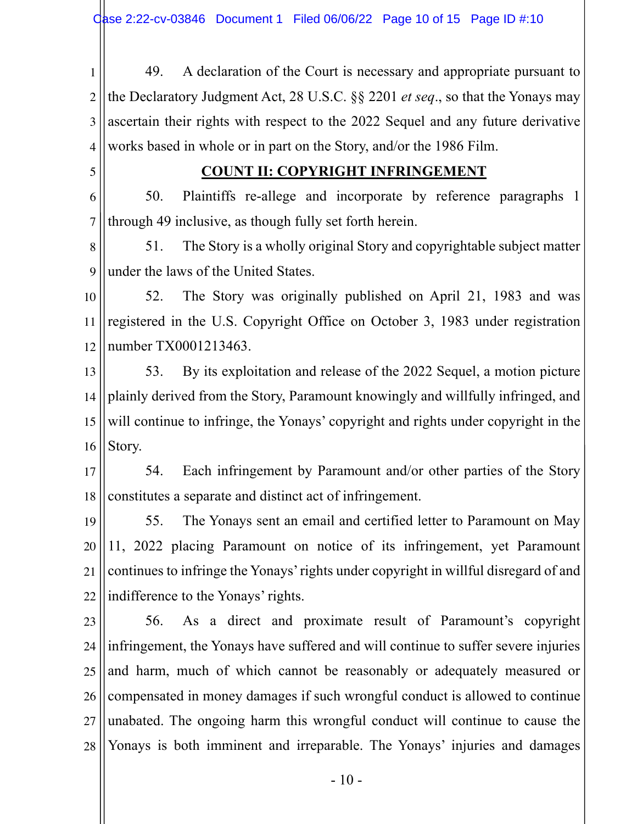1 2 3 4 49. A declaration of the Court is necessary and appropriate pursuant to the Declaratory Judgment Act, 28 U.S.C. §§ 2201 *et seq*., so that the Yonays may ascertain their rights with respect to the 2022 Sequel and any future derivative works based in whole or in part on the Story, and/or the 1986 Film.

5

### **COUNT II: COPYRIGHT INFRINGEMENT**

6 7 50. Plaintiffs re-allege and incorporate by reference paragraphs 1 through 49 inclusive, as though fully set forth herein.

8 9 51. The Story is a wholly original Story and copyrightable subject matter under the laws of the United States.

10 11 12 52. The Story was originally published on April 21, 1983 and was registered in the U.S. Copyright Office on October 3, 1983 under registration number TX0001213463.

13 14 15 16 53. By its exploitation and release of the 2022 Sequel, a motion picture plainly derived from the Story, Paramount knowingly and willfully infringed, and will continue to infringe, the Yonays' copyright and rights under copyright in the Story.

17 18 54. Each infringement by Paramount and/or other parties of the Story constitutes a separate and distinct act of infringement.

19 20 21 22 55. The Yonays sent an email and certified letter to Paramount on May 11, 2022 placing Paramount on notice of its infringement, yet Paramount continues to infringe the Yonays'rights under copyright in willful disregard of and indifference to the Yonays' rights.

23 24 25 26 27 28 56. As a direct and proximate result of Paramount's copyright infringement, the Yonays have suffered and will continue to suffer severe injuries and harm, much of which cannot be reasonably or adequately measured or compensated in money damages if such wrongful conduct is allowed to continue unabated. The ongoing harm this wrongful conduct will continue to cause the Yonays is both imminent and irreparable. The Yonays' injuries and damages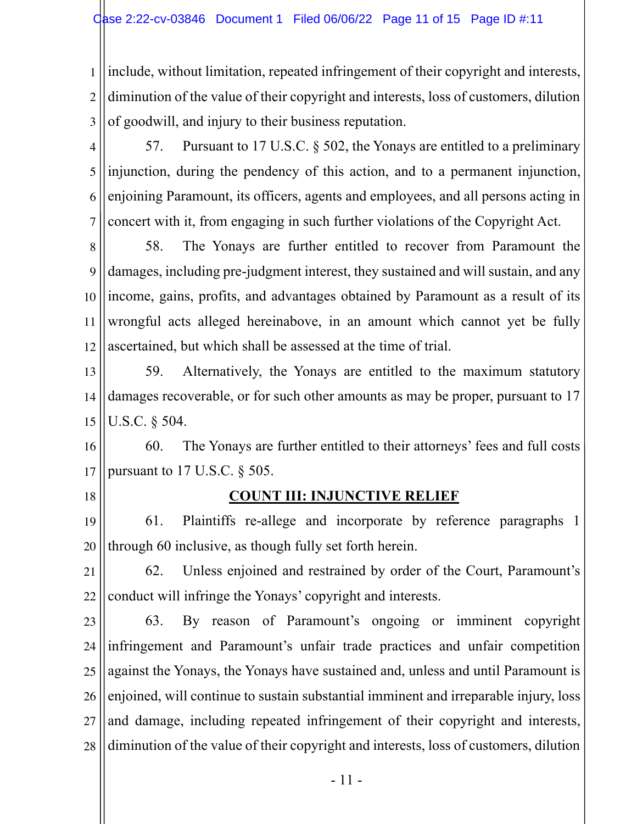1 2 3 include, without limitation, repeated infringement of their copyright and interests, diminution of the value of their copyright and interests, loss of customers, dilution of goodwill, and injury to their business reputation.

4 5 6 7 57. Pursuant to 17 U.S.C. § 502, the Yonays are entitled to a preliminary injunction, during the pendency of this action, and to a permanent injunction, enjoining Paramount, its officers, agents and employees, and all persons acting in concert with it, from engaging in such further violations of the Copyright Act.

8 9 10 11 12 58. The Yonays are further entitled to recover from Paramount the damages, including pre-judgment interest, they sustained and will sustain, and any income, gains, profits, and advantages obtained by Paramount as a result of its wrongful acts alleged hereinabove, in an amount which cannot yet be fully ascertained, but which shall be assessed at the time of trial.

13 14 15 59. Alternatively, the Yonays are entitled to the maximum statutory damages recoverable, or for such other amounts as may be proper, pursuant to 17 U.S.C. § 504.

16 17 60. The Yonays are further entitled to their attorneys' fees and full costs pursuant to 17 U.S.C. § 505.

18

### **COUNT III: INJUNCTIVE RELIEF**

19 20 61. Plaintiffs re-allege and incorporate by reference paragraphs 1 through 60 inclusive, as though fully set forth herein.

21 22 62. Unless enjoined and restrained by order of the Court, Paramount's conduct will infringe the Yonays' copyright and interests.

23 24 25 26 27 28 63. By reason of Paramount's ongoing or imminent copyright infringement and Paramount's unfair trade practices and unfair competition against the Yonays, the Yonays have sustained and, unless and until Paramount is enjoined, will continue to sustain substantial imminent and irreparable injury, loss and damage, including repeated infringement of their copyright and interests, diminution of the value of their copyright and interests, loss of customers, dilution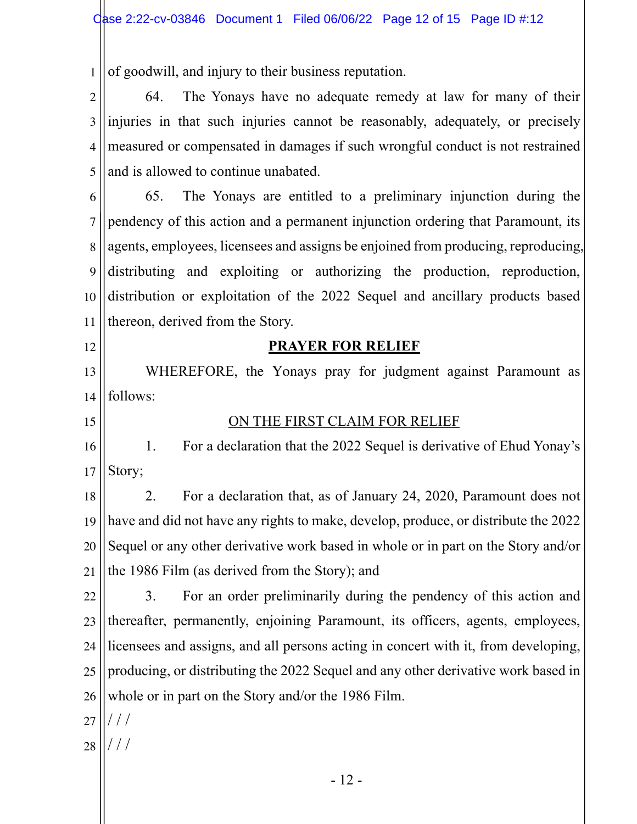1 of goodwill, and injury to their business reputation.

2 3 4 5 64. The Yonays have no adequate remedy at law for many of their injuries in that such injuries cannot be reasonably, adequately, or precisely measured or compensated in damages if such wrongful conduct is not restrained and is allowed to continue unabated.

6 7 8 9 10 11 65. The Yonays are entitled to a preliminary injunction during the pendency of this action and a permanent injunction ordering that Paramount, its agents, employees, licensees and assigns be enjoined from producing, reproducing, distributing and exploiting or authorizing the production, reproduction, distribution or exploitation of the 2022 Sequel and ancillary products based thereon, derived from the Story.

12

# **PRAYER FOR RELIEF**

13 14 WHEREFORE, the Yonays pray for judgment against Paramount as follows:

15

# ON THE FIRST CLAIM FOR RELIEF

16 17 1. For a declaration that the 2022 Sequel is derivative of Ehud Yonay's Story;

18 19 20 21 2. For a declaration that, as of January 24, 2020, Paramount does not have and did not have any rights to make, develop, produce, or distribute the 2022 Sequel or any other derivative work based in whole or in part on the Story and/or the 1986 Film (as derived from the Story); and

22 23 24 25 26 3. For an order preliminarily during the pendency of this action and thereafter, permanently, enjoining Paramount, its officers, agents, employees, licensees and assigns, and all persons acting in concert with it, from developing, producing, or distributing the 2022 Sequel and any other derivative work based in whole or in part on the Story and/or the 1986 Film.

27 / / /

28 / / /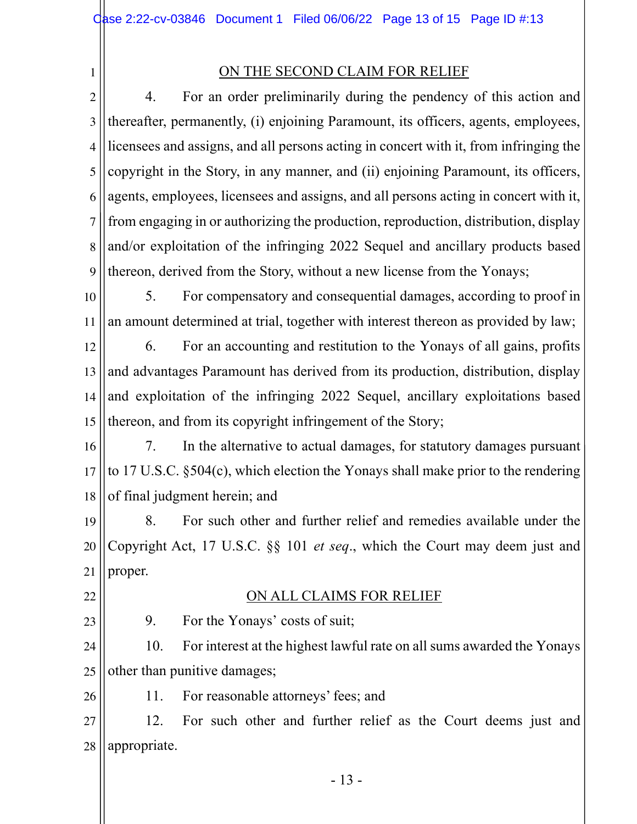1

# ON THE SECOND CLAIM FOR RELIEF

2 3 4 5 6 7 8 9 4. For an order preliminarily during the pendency of this action and thereafter, permanently, (i) enjoining Paramount, its officers, agents, employees, licensees and assigns, and all persons acting in concert with it, from infringing the copyright in the Story, in any manner, and (ii) enjoining Paramount, its officers, agents, employees, licensees and assigns, and all persons acting in concert with it, from engaging in or authorizing the production, reproduction, distribution, display and/or exploitation of the infringing 2022 Sequel and ancillary products based thereon, derived from the Story, without a new license from the Yonays;

10 11 5. For compensatory and consequential damages, according to proof in an amount determined at trial, together with interest thereon as provided by law;

12 13 14 15 6. For an accounting and restitution to the Yonays of all gains, profits and advantages Paramount has derived from its production, distribution, display and exploitation of the infringing 2022 Sequel, ancillary exploitations based thereon, and from its copyright infringement of the Story;

16 17 18 7. In the alternative to actual damages, for statutory damages pursuant to 17 U.S.C. §504(c), which election the Yonays shall make prior to the rendering of final judgment herein; and

19 20 21 8. For such other and further relief and remedies available under the Copyright Act, 17 U.S.C. §§ 101 *et seq*., which the Court may deem just and proper.

22

### ON ALL CLAIMS FOR RELIEF

23

9. For the Yonays' costs of suit;

24 25 10. For interest at the highest lawful rate on all sums awarded the Yonays other than punitive damages;

26 11. For reasonable attorneys' fees; and

27 28 12. For such other and further relief as the Court deems just and appropriate.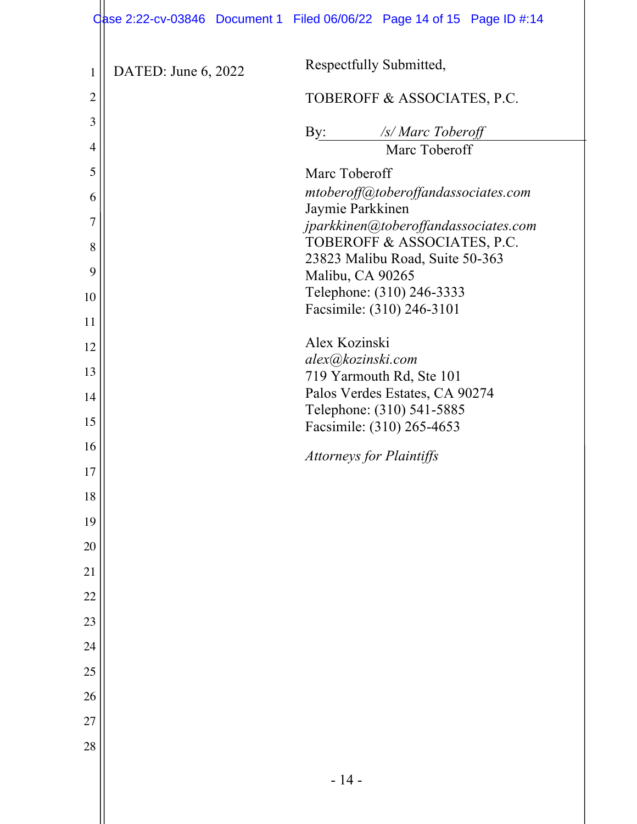|                |                     | Qase 2:22-cv-03846 Document 1 Filed 06/06/22 Page 14 of 15 Page ID #:14 |
|----------------|---------------------|-------------------------------------------------------------------------|
| $\mathbf{1}$   | DATED: June 6, 2022 | Respectfully Submitted,                                                 |
| $\overline{2}$ |                     | TOBEROFF & ASSOCIATES, P.C.                                             |
| 3              |                     | $\mathbf{By:}$<br>/s/ Marc Toberoff                                     |
| 4              |                     | Marc Toberoff                                                           |
| 5              |                     | Marc Toberoff                                                           |
| 6              |                     | mtoberoff@toberoffandassociates.com                                     |
| 7              |                     | Jaymie Parkkinen<br>jparkkinen@toberoffandassociates.com                |
| 8              |                     | TOBEROFF & ASSOCIATES, P.C.                                             |
| 9              |                     | 23823 Malibu Road, Suite 50-363<br>Malibu, CA 90265                     |
| 10             |                     | Telephone: (310) 246-3333                                               |
| 11             |                     | Facsimile: (310) 246-3101                                               |
| 12             |                     | Alex Kozinski                                                           |
| 13             |                     | alex@kozinski.com                                                       |
| 14             |                     | 719 Yarmouth Rd, Ste 101<br>Palos Verdes Estates, CA 90274              |
|                |                     | Telephone: (310) 541-5885                                               |
| 15             |                     | Facsimile: (310) 265-4653                                               |
| 16             |                     | <b>Attorneys for Plaintiffs</b>                                         |
| $17\,$         |                     |                                                                         |
| 18             |                     |                                                                         |
| 19             |                     |                                                                         |
| 20             |                     |                                                                         |
| 21             |                     |                                                                         |
| 22             |                     |                                                                         |
| 23             |                     |                                                                         |
| 24             |                     |                                                                         |
| 25             |                     |                                                                         |
| 26             |                     |                                                                         |
| 27             |                     |                                                                         |
| 28             |                     |                                                                         |
|                |                     | $-14-$                                                                  |